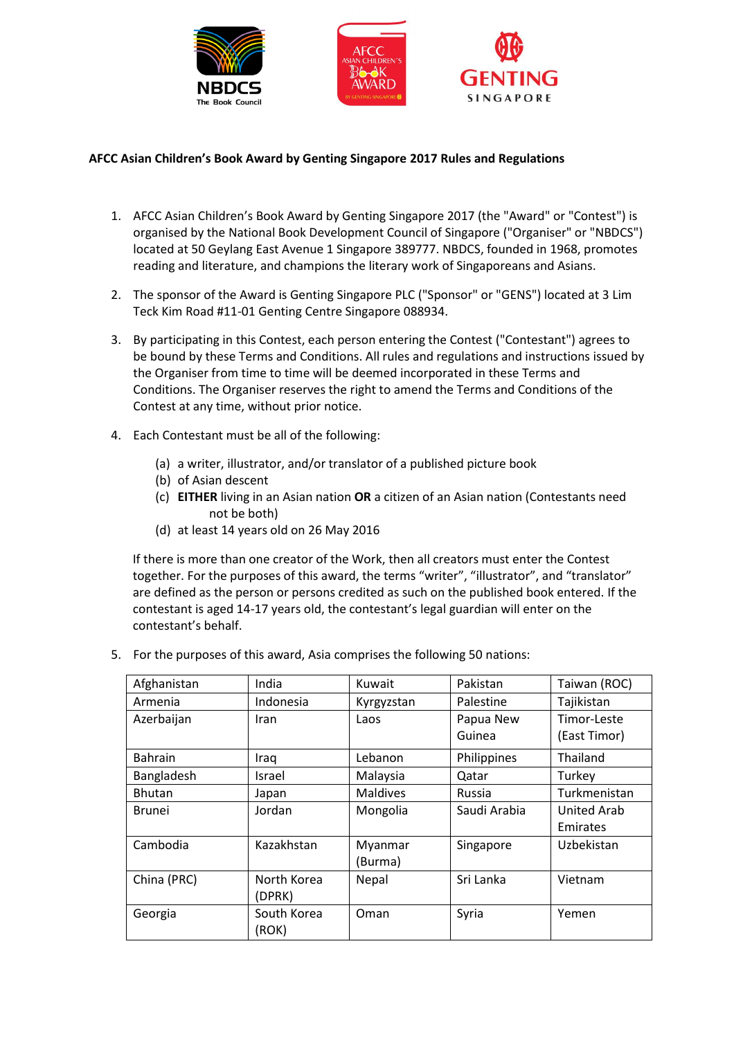





## **AFCC Asian Children's Book Award by Genting Singapore 2017 Rules and Regulations**

- 1. AFCC Asian Children's Book Award by Genting Singapore 2017 (the "Award" or "Contest") is organised by the National Book Development Council of Singapore ("Organiser" or "NBDCS") located at 50 Geylang East Avenue 1 Singapore 389777. NBDCS, founded in 1968, promotes reading and literature, and champions the literary work of Singaporeans and Asians.
- 2. The sponsor of the Award is Genting Singapore PLC ("Sponsor" or "GENS") located at 3 Lim Teck Kim Road #11-01 Genting Centre Singapore 088934.
- 3. By participating in this Contest, each person entering the Contest ("Contestant") agrees to be bound by these Terms and Conditions. All rules and regulations and instructions issued by the Organiser from time to time will be deemed incorporated in these Terms and Conditions. The Organiser reserves the right to amend the Terms and Conditions of the Contest at any time, without prior notice.
- 4. Each Contestant must be all of the following:
	- (a) a writer, illustrator, and/or translator of a published picture book
	- (b) of Asian descent
	- (c) **EITHER** living in an Asian nation **OR** a citizen of an Asian nation (Contestants need not be both)
	- (d) at least 14 years old on 26 May 2016

If there is more than one creator of the Work, then all creators must enter the Contest together. For the purposes of this award, the terms "writer", "illustrator", and "translator" are defined as the person or persons credited as such on the published book entered. If the contestant is aged 14-17 years old, the contestant's legal guardian will enter on the contestant's behalf.

5. For the purposes of this award, Asia comprises the following 50 nations:

| Afghanistan    | India       | Kuwait          | Pakistan     | Taiwan (ROC) |
|----------------|-------------|-----------------|--------------|--------------|
| Armenia        | Indonesia   | Kyrgyzstan      | Palestine    | Tajikistan   |
| Azerbaijan     | <b>Iran</b> | Laos            | Papua New    | Timor-Leste  |
|                |             |                 | Guinea       | (East Timor) |
| <b>Bahrain</b> | Iraq        | Lebanon         | Philippines  | Thailand     |
| Bangladesh     | Israel      | Malaysia        | Qatar        | Turkey       |
| Bhutan         | Japan       | <b>Maldives</b> | Russia       | Turkmenistan |
| <b>Brunei</b>  | Jordan      | Mongolia        | Saudi Arabia | United Arab  |
|                |             |                 |              | Emirates     |
| Cambodia       | Kazakhstan  | Myanmar         | Singapore    | Uzbekistan   |
|                |             | (Burma)         |              |              |
| China (PRC)    | North Korea | Nepal           | Sri Lanka    | Vietnam      |
|                | (DPRK)      |                 |              |              |
| Georgia        | South Korea | Oman            | Syria        | Yemen        |
|                | (ROK)       |                 |              |              |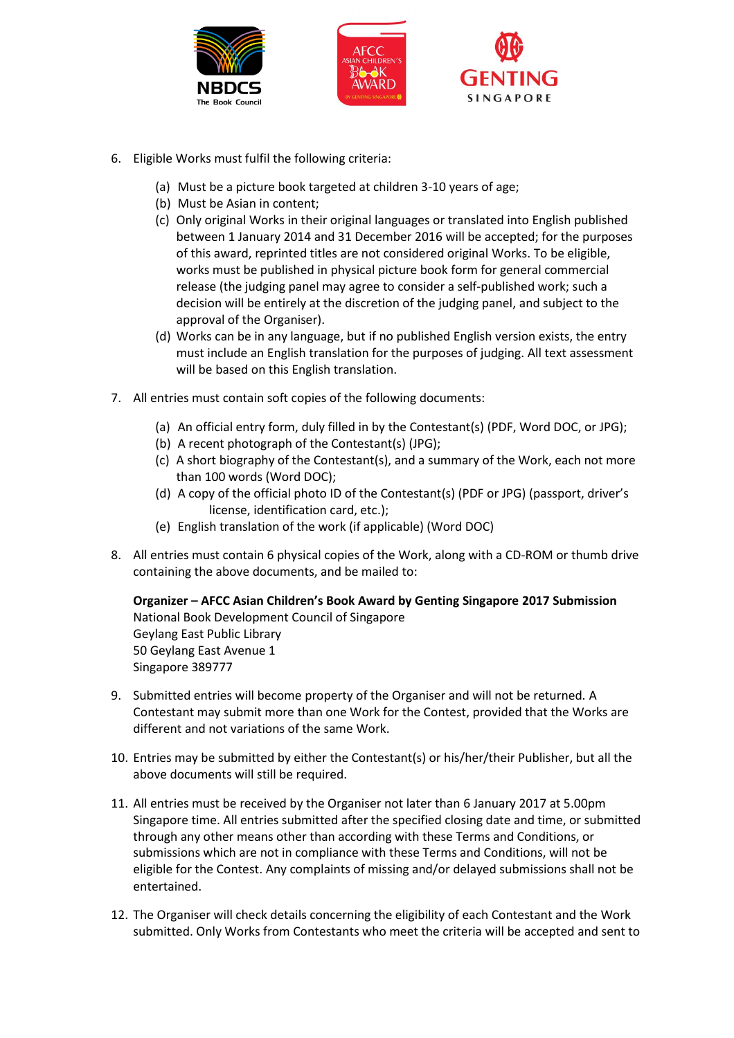





- 6. Eligible Works must fulfil the following criteria:
	- (a) Must be a picture book targeted at children 3-10 years of age;
	- (b) Must be Asian in content;
	- (c) Only original Works in their original languages or translated into English published between 1 January 2014 and 31 December 2016 will be accepted; for the purposes of this award, reprinted titles are not considered original Works. To be eligible, works must be published in physical picture book form for general commercial release (the judging panel may agree to consider a self-published work; such a decision will be entirely at the discretion of the judging panel, and subject to the approval of the Organiser).
	- (d) Works can be in any language, but if no published English version exists, the entry must include an English translation for the purposes of judging. All text assessment will be based on this English translation.
- 7. All entries must contain soft copies of the following documents:
	- (a) An official entry form, duly filled in by the Contestant(s) (PDF, Word DOC, or JPG);
	- (b) A recent photograph of the Contestant(s) (JPG);
	- (c) A short biography of the Contestant(s), and a summary of the Work, each not more than 100 words (Word DOC);
	- (d) A copy of the official photo ID of the Contestant(s) (PDF or JPG) (passport, driver's license, identification card, etc.);
	- (e) English translation of the work (if applicable) (Word DOC)
- 8. All entries must contain 6 physical copies of the Work, along with a CD-ROM or thumb drive containing the above documents, and be mailed to:

**Organizer – AFCC Asian Children's Book Award by Genting Singapore 2017 Submission** National Book Development Council of Singapore Geylang East Public Library 50 Geylang East Avenue 1 Singapore 389777

- 9. Submitted entries will become property of the Organiser and will not be returned. A Contestant may submit more than one Work for the Contest, provided that the Works are different and not variations of the same Work.
- 10. Entries may be submitted by either the Contestant(s) or his/her/their Publisher, but all the above documents will still be required.
- 11. All entries must be received by the Organiser not later than 6 January 2017 at 5.00pm Singapore time. All entries submitted after the specified closing date and time, or submitted through any other means other than according with these Terms and Conditions, or submissions which are not in compliance with these Terms and Conditions, will not be eligible for the Contest. Any complaints of missing and/or delayed submissions shall not be entertained.
- 12. The Organiser will check details concerning the eligibility of each Contestant and the Work submitted. Only Works from Contestants who meet the criteria will be accepted and sent to